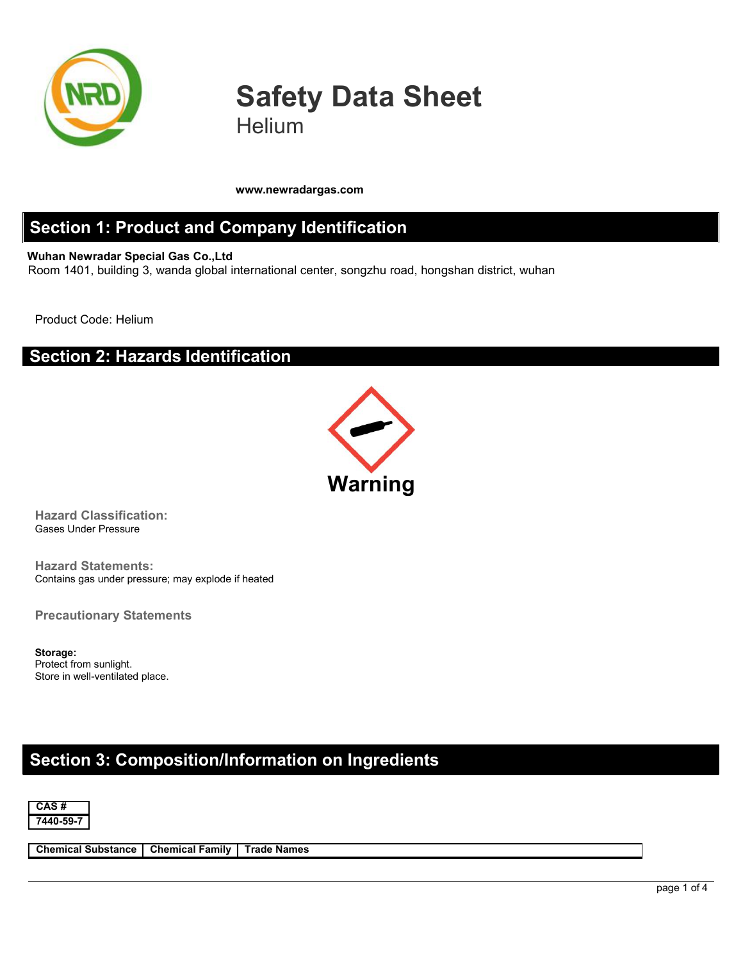

# **Safety Data Sheet Helium**

**www.newradargas.com**

#### **Section 1: Product and Company Identification**

**Wuhan Newradar Special Gas Co.,Ltd** Room 1401, building 3, wanda global international center, songzhu road, hongshan district, wuhan

Product Code: Helium

#### **Section 2: Hazards Identification**



**Hazard Classification:** Gases Under Pressure

**Hazard Statements:** Contains gas under pressure; may explode if heated

**Precautionary Statements**

**Storage:** Protect from sunlight. Store in well-ventilated place.

## **Section 3: Composition/Information on Ingredients**



**Chemical Substance Chemical Family Trade Names**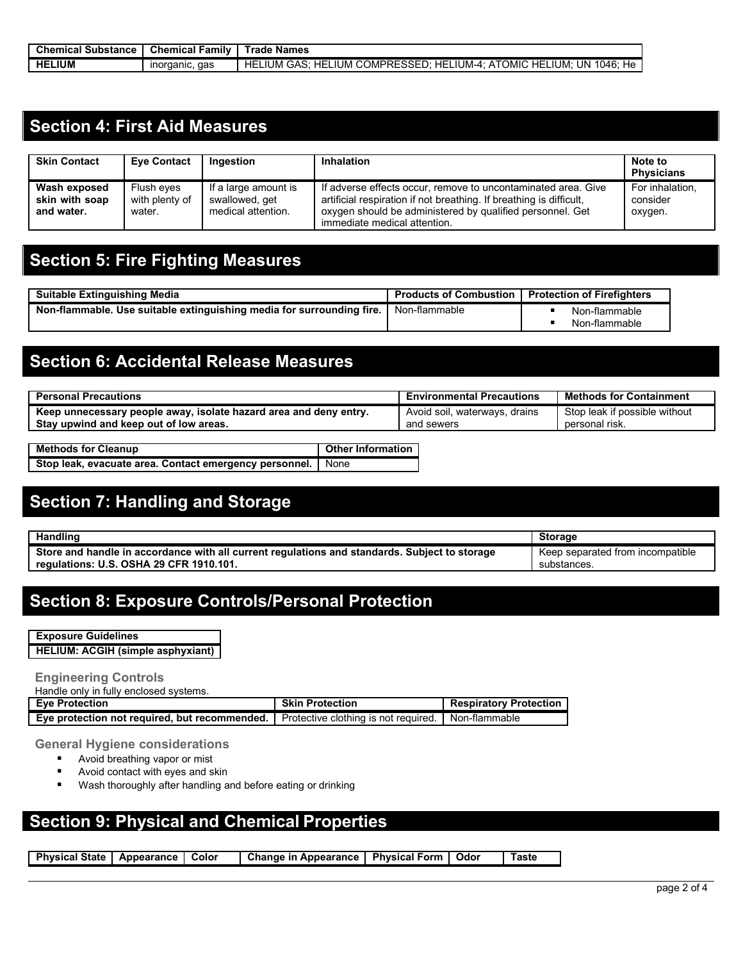| <b>Chemical Substance</b> | . .<br><b>Chemical</b><br>∙amilv | Names<br>Trade                                                                                                                        |
|---------------------------|----------------------------------|---------------------------------------------------------------------------------------------------------------------------------------|
| <b>HELIUM</b>             | aas<br>inorganic.                | <b>COMPRESSED</b><br>.IUM<br>∵ HE∟.<br>HE<br>IUM-4<br>OMIC<br>UN 1046<br>` ium.<br>HE<br>HE<br>.IUM<br>ع∆≏∩<br>не<br>ΑI<br>. כרי<br>ີ |

### **Section 4: First Aid Measures**

| <b>Skin Contact</b>                          | <b>Eve Contact</b>                     | Ingestion                                                    | Inhalation                                                                                                                                                                                                                        | Note to<br><b>Physicians</b>           |
|----------------------------------------------|----------------------------------------|--------------------------------------------------------------|-----------------------------------------------------------------------------------------------------------------------------------------------------------------------------------------------------------------------------------|----------------------------------------|
| Wash exposed<br>skin with soap<br>and water. | Flush eves<br>with plenty of<br>water. | If a large amount is<br>swallowed, get<br>medical attention. | If adverse effects occur, remove to uncontaminated area. Give<br>artificial respiration if not breathing. If breathing is difficult,<br>oxygen should be administered by qualified personnel. Get<br>immediate medical attention. | For inhalation,<br>consider<br>oxygen. |

### **Section 5: Fire Fighting Measures**

| Suitable Extinguishing Media                                          | <b>Products of Combustion</b> | <b>Protection of Firefighters</b> |
|-----------------------------------------------------------------------|-------------------------------|-----------------------------------|
| Non-flammable. Use suitable extinguishing media for surrounding fire. | Non-flammable                 | Non-flammable                     |
|                                                                       |                               | Non-flammable                     |

### **Section 6: Accidental Release Measures**

| <b>Personal Precautions</b>                                       | <b>Environmental Precautions</b> | <b>Methods for Containment</b> |
|-------------------------------------------------------------------|----------------------------------|--------------------------------|
| Keep unnecessary people away, isolate hazard area and deny entry. | Avoid soil, waterways, drains    | Stop leak if possible without  |
| Stay upwind and keep out of low areas.                            | and sewers                       | personal risk.                 |
| ______                                                            |                                  |                                |

| <b>Methods for Cleanup</b>                                    | <b>Other Information</b> |
|---------------------------------------------------------------|--------------------------|
| Stop leak, evacuate area. Contact emergency personnel.   None |                          |

# **Section 7: Handling and Storage**

| <b>Handling</b>                                                                                                                          | <b>Storage</b>                                      |
|------------------------------------------------------------------------------------------------------------------------------------------|-----------------------------------------------------|
| Store and handle in accordance with all current regulations and standards. Subject to storage<br>regulations: U.S. OSHA 29 CFR 1910.101. | Keep<br>separated from incompatible.<br>substances. |

# **Section 8: Exposure Controls/Personal Protection**

**Exposure Guidelines HELIUM: ACGIH (simple asphyxiant)**

**Engineering Controls** Handle only in fully enclosed systems.

| Tighult University Churchist Systems.         |                                      |                               |
|-----------------------------------------------|--------------------------------------|-------------------------------|
| <b>Eve Protection</b>                         | <b>Skin Protection</b>               | <b>Respiratory Protection</b> |
| Eye protection not required, but recommended. | Protective clothing is not required. | Non-flammable                 |

#### **General Hygiene considerations**

- **Avoid breathing vapor or mist**
- **Avoid contact with eyes and skin**
- **Wash thoroughly after handling and before eating or drinking**

#### **Section 9: Physical and Chemical Properties**

**Physical State Appearance Color Change in Appearance PhysicalForm Odor Taste**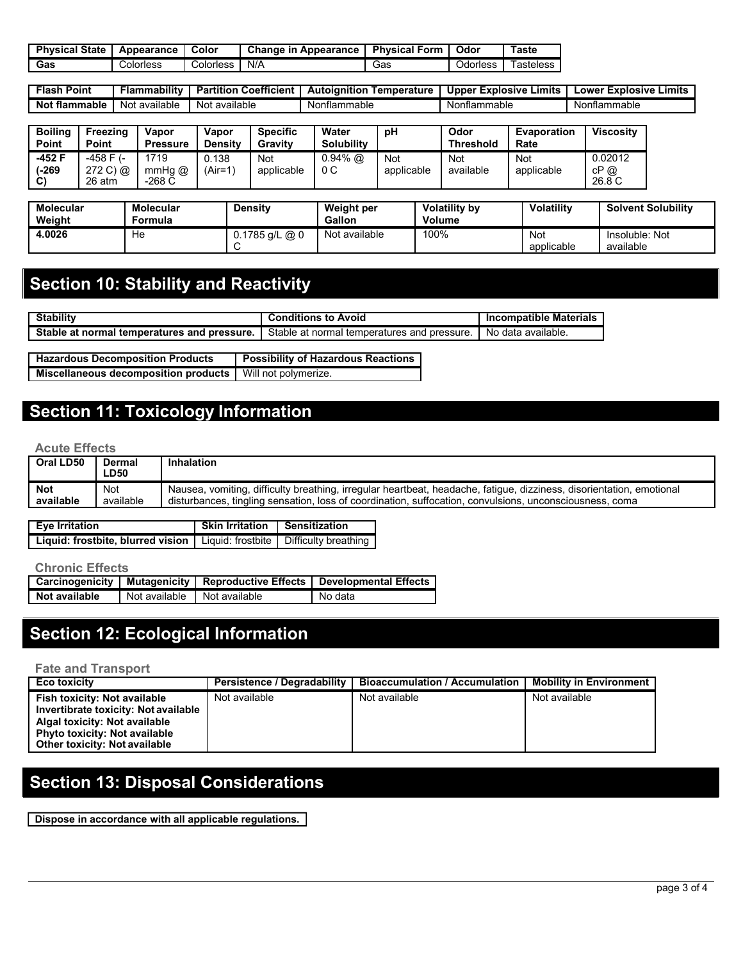| <b>Physical State</b> | Appearance | Color     | Change in<br>Appearance | <b>Physical Form</b> | Odor     | Гaste     |
|-----------------------|------------|-----------|-------------------------|----------------------|----------|-----------|
| Gas                   | Colorless  | Colorless | N/A                     | Gas                  | Odorless | ⊺asteless |

| Point<br>Flash                  | <br><b>Flammability</b> | ---<br>.<br><b>Coefficient</b><br>Partition | <b>⊺emperature</b><br>pianition<br>Auto | <b>Upper Explosive</b><br>Limits | Limits<br>Explosive<br>LOW <sub>e</sub> |
|---------------------------------|-------------------------|---------------------------------------------|-----------------------------------------|----------------------------------|-----------------------------------------|
| --<br>- -<br>* flammable<br>Not | available<br>Not        | : available<br>Not                          | flammable<br>. Nor''                    | Nonflammable                     | ∴ Nontiammabic                          |

| <b>Boiling</b><br>Point | Freezina<br>Point               | Vapor<br><b>Pressure</b>      | Vapor<br><b>Density</b> | <b>Specific</b><br>Gravity | Water<br><b>Solubility</b> | рH                       | Odor<br>Threshold | <b>Evaporation</b><br>Rate | <b>Viscosity</b>         |
|-------------------------|---------------------------------|-------------------------------|-------------------------|----------------------------|----------------------------|--------------------------|-------------------|----------------------------|--------------------------|
| -452 F<br>(-269<br>C)   | -458 F (-<br>272 C) @<br>26 atm | 1719<br>$mmHg$ $@$<br>$-268C$ | 0.138<br>$(Air=1)$      | Not<br>applicable          | $0.94\%$ @<br>0C           | <b>Not</b><br>applicable | Not<br>available  | Not<br>applicable          | 0.02012<br>cP@<br>26.8 C |

| <b>Molecular</b><br>Weight | Molecular<br>Formula | Density        | Weight per<br><b>Gallon</b> | <b>Volatility by</b><br>Volume | <b>Volatility</b> | <b>Solvent Solubility</b>   |
|----------------------------|----------------------|----------------|-----------------------------|--------------------------------|-------------------|-----------------------------|
| 4.0026                     | He                   | 0.1785 g/L @ 0 | Not available               | 100%                           | Not<br>applicable | Insoluble: Not<br>available |

# **Section 10: Stability and Reactivity**

| <br>$C_{\text{full}}$<br>Stabilit                                    | Avoid<br>to<br>Conditions                                        | ompatible Materials*<br>ınc |
|----------------------------------------------------------------------|------------------------------------------------------------------|-----------------------------|
| St:<br>pressure.<br>and<br>normal<br>temperatures<br>ונ<br>. .<br>aı | Stable<br>pressure.<br>∶ norm<br>ratures<br>aτ<br>nai tembe<br>. | data available.<br>NO (     |

| <b>Hazardous Decomposition Products</b>                     | <b>Possibility of Hazardous Reactions</b> |
|-------------------------------------------------------------|-------------------------------------------|
| Miscellaneous decomposition products   Will not polymerize. |                                           |

# **Section 11: Toxicology Information**

#### **Acute Effects**

| Oral LD50  | Dermal<br><b>LD50</b> | Inhalation                                                                                                           |
|------------|-----------------------|----------------------------------------------------------------------------------------------------------------------|
| <b>Not</b> | Not                   | Nausea, vomiting, difficulty breathing, irregular heartbeat, headache, fatigue, dizziness, disorientation, emotional |
| available  | available             | disturbances, tingling sensation, loss of coordination, suffocation, convulsions, unconsciousness, coma              |

| Eye Irritation                                                               | Skin Irritation   Sensitization |  |
|------------------------------------------------------------------------------|---------------------------------|--|
| Liguid: frostbite, blurred vision   Liguid: frostbite   Difficulty breathing |                                 |  |

#### **Chronic Effects**

| Carcinogenicity | Mutagenicity  |               | 'Reproductive Effects   Developmental Effects |  |
|-----------------|---------------|---------------|-----------------------------------------------|--|
| Not available   | Not available | Not available | No data                                       |  |

# **Section 12: Ecological Information**

#### **Fate and Transport**

| <b>Eco toxicity</b>                                                          | Persistence / Degradability | <b>Bioaccumulation / Accumulation</b> | <b>Mobility in Environment</b> |
|------------------------------------------------------------------------------|-----------------------------|---------------------------------------|--------------------------------|
| Fish toxicity: Not available<br>Invertibrate toxicity: Not available         | Not available               | Not available                         | Not available                  |
| Algal toxicity: Not available                                                |                             |                                       |                                |
| <b>Phyto toxicity: Not available</b><br><b>Other toxicity: Not available</b> |                             |                                       |                                |
|                                                                              |                             |                                       |                                |

# **Section 13: Disposal Considerations**

**Dispose in accordance with all applicable regulations.**